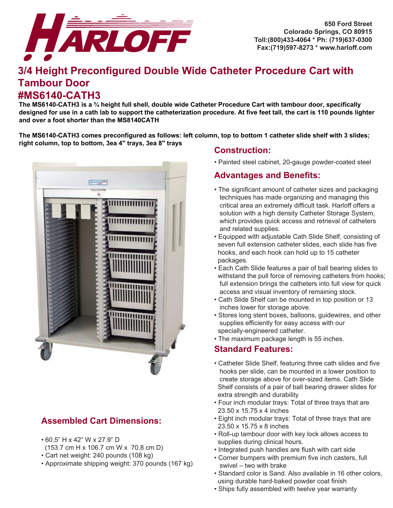

## **3/4 Height Preconfigured Double Wide Catheter Procedure Cart with Tambour Door #MS6140-CATH3**

**The MS6140-CATH3 is a ¾ height full shell, double wide Catheter Procedure Cart with tambour door, specifically designed for use in a cath lab to support the catheterization procedure. At five feet tall, the cart is 110 pounds lighter and over a foot shorter than the MS8140CATH**

**The MS6140-CATH3 comes preconfigured as follows: left column, top to bottom 1 catheter slide shelf with 3 slides; right column, top to bottom, 3ea 4" trays, 3ea 8" trays**



## **Assembled Cart Dimensions:**

- 60.5" H x 42" W x 27.9" D
- (153.7 cm H x 106.7 cm W x 70.8 cm D) • Cart net weight: 240 pounds (108 kg)
- Approximate shipping weight: 370 pounds (167 kg)

## **Construction:**

• Painted steel cabinet, 20-gauge powder-coated steel

### **Advantages and Benefits:**

- The significant amount of catheter sizes and packaging techniques has made organizing and managing this critical area an extremely difficult task. Harloff offers a solution with a high density Catheter Storage System, which provides quick access and retrieval of catheters and related supplies.
- Equipped with adjustable Cath Slide Shelf, consisting of seven full extension catheter slides, each slide has five hooks, and each hook can hold up to 15 catheter packages.
- Each Cath Slide features a pair of ball bearing slides to withstand the pull force of removing catheters from hooks; full extension brings the catheters into full view for quick access and visual inventory of remaining stock.
- Cath Slide Shelf can be mounted in top position or 13 inches lower for storage above.
- Stores long stent boxes, balloons, guidewires, and other supplies efficiently for easy access with our specially-engineered catheter.
- The maximum package length is 55 inches.

#### **Standard Features:**

- Catheter Slide Shelf, featuring three cath slides and five hooks per slide, can be mounted in a lower position to create storage above for over-sized items. Cath Slide Shelf consists of a pair of ball bearing drawer slides for extra strength and durability
- Four inch modular trays: Total of three trays that are 23.50 x 15.75 x 4 inches
- Eight inch modular trays: Total of three trays that are 23.50 x 15.75 x 8 inches
- Roll-up tambour door with key lock allows access to supplies during clinical hours.
- Integrated push handles are flush with cart side
- Corner bumpers with premium five inch casters, full swivel – two with brake
- Standard color is Sand. Also available in 16 other colors, using durable hard-baked powder coat finish
- Ships fully assembled with twelve year warranty